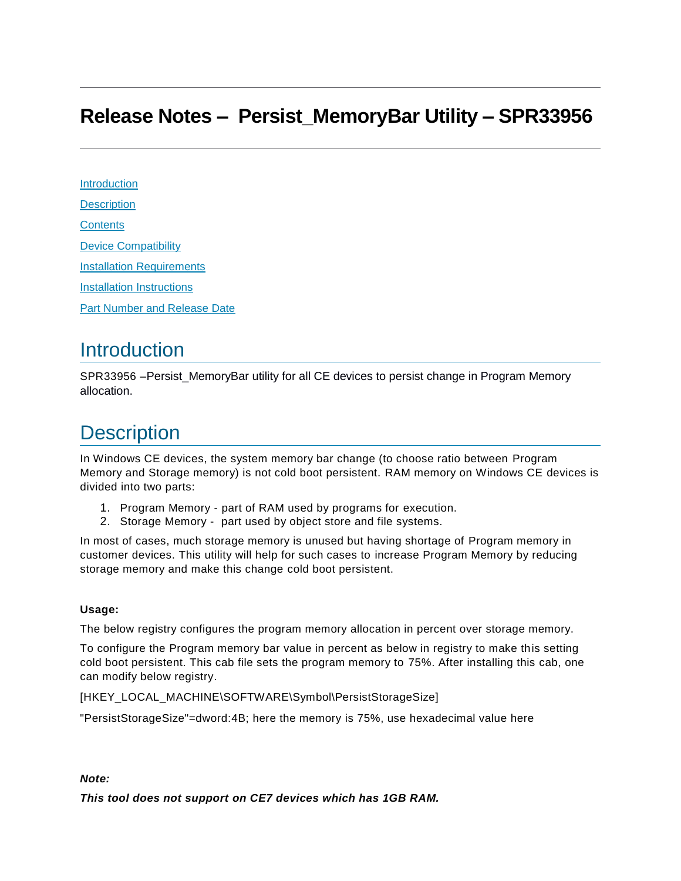#### **Release Notes – Persist\_MemoryBar Utility – SPR33956**

**Introduction [Description](#page-0-0) [Contents](#page-1-0)** [Device Compatibility](#page-1-1) [Installation Requirements](#page-1-2) [Installation Instructions](#page-1-3) [Part Number and Release Date](#page-2-0)

#### **Introduction**

SPR33956 –Persist\_MemoryBar utility for all CE devices to persist change in Program Memory allocation.

### <span id="page-0-0"></span>**Description**

In Windows CE devices, the system memory bar change (to choose ratio between Program Memory and Storage memory) is not cold boot persistent. RAM memory on Windows CE devices is divided into two parts:

- 1. Program Memory part of RAM used by programs for execution.
- 2. Storage Memory part used by object store and file systems.

In most of cases, much storage memory is unused but having shortage of Program memory in customer devices. This utility will help for such cases to increase Program Memory by reducing storage memory and make this change cold boot persistent.

#### **Usage:**

The below registry configures the program memory allocation in percent over storage memory.

To configure the Program memory bar value in percent as below in registry to make this setting cold boot persistent. This cab file sets the program memory to 75%. After installing this cab, one can modify below registry.

[HKEY\_LOCAL\_MACHINE\SOFTWARE\Symbol\PersistStorageSize]

"PersistStorageSize"=dword:4B; here the memory is 75%, use hexadecimal value here

*Note:*

*This tool does not support on CE7 devices which has 1GB RAM.*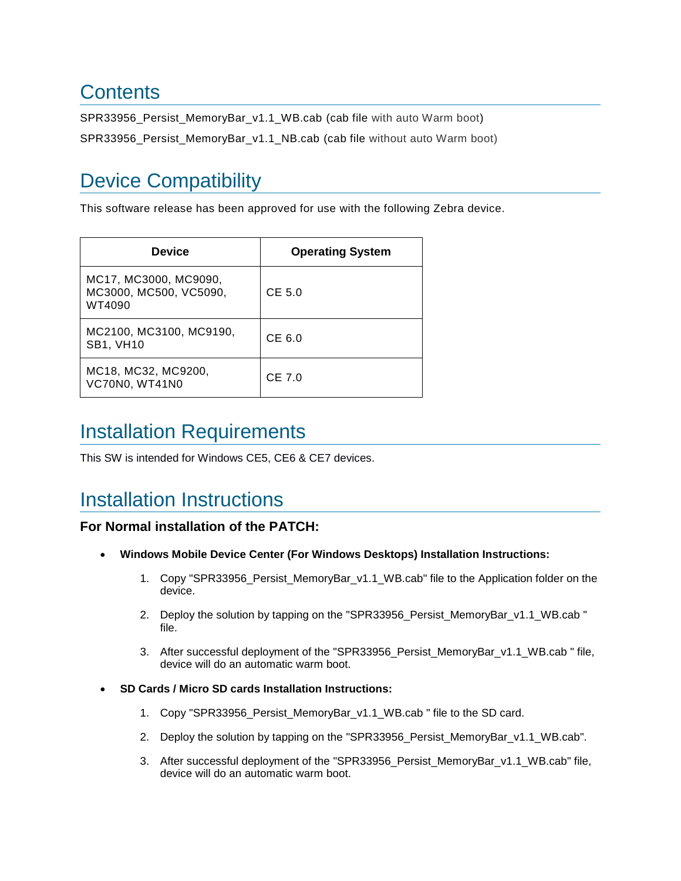## <span id="page-1-0"></span>**Contents**

SPR33956 Persist MemoryBar v1.1 WB.cab (cab file with auto Warm boot)

SPR33956\_Persist\_MemoryBar\_v1.1\_NB.cab (cab file without auto Warm boot)

# <span id="page-1-1"></span>Device Compatibility

This software release has been approved for use with the following Zebra device.

| <b>Device</b>                                             | <b>Operating System</b> |
|-----------------------------------------------------------|-------------------------|
| MC17, MC3000, MC9090,<br>MC3000, MC500, VC5090,<br>WT4090 | CE 5.0                  |
| MC2100, MC3100, MC9190,<br><b>SB1, VH10</b>               | CE6.0                   |
| MC18, MC32, MC9200,<br>VC70N0, WT41N0                     | $CE$ 7.0                |

### <span id="page-1-2"></span>Installation Requirements

This SW is intended for Windows CE5, CE6 & CE7 devices.

### <span id="page-1-3"></span>Installation Instructions

#### **For Normal installation of the PATCH:**

- **Windows Mobile Device Center (For Windows Desktops) Installation Instructions:**
	- 1. Copy "SPR33956\_Persist\_MemoryBar\_v1.1\_WB.cab" file to the Application folder on the device.
	- 2. Deploy the solution by tapping on the "SPR33956\_Persist\_MemoryBar\_v1.1\_WB.cab " file.
	- 3. After successful deployment of the "SPR33956\_Persist\_MemoryBar\_v1.1\_WB.cab " file, device will do an automatic warm boot.
- **SD Cards / Micro SD cards Installation Instructions:**
	- 1. Copy "SPR33956\_Persist\_MemoryBar\_v1.1\_WB.cab " file to the SD card.
	- 2. Deploy the solution by tapping on the "SPR33956\_Persist\_MemoryBar\_v1.1\_WB.cab".
	- 3. After successful deployment of the "SPR33956\_Persist\_MemoryBar\_v1.1\_WB.cab" file, device will do an automatic warm boot.